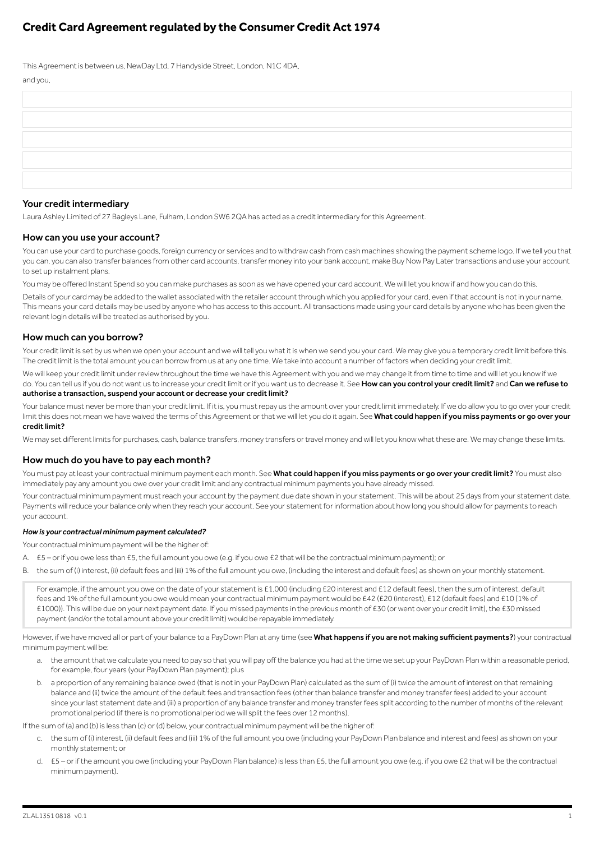# **Credit Card Agreement regulated by the Consumer Credit Act 1974**

This Agreement is between us, NewDay Ltd, 7 Handyside Street, London, N1C 4DA,

| and you, |  |
|----------|--|
|          |  |
|          |  |
|          |  |
|          |  |
|          |  |
|          |  |

## Your credit intermediary

Laura Ashley Limited of 27 Bagleys Lane, Fulham, London SW6 2QA has acted as a credit intermediary for this Agreement.

### How can you use your account?

You can use your card to purchase goods, foreign currency or services and to withdraw cash from cash machines showing the payment scheme logo. If we tell you that you can, you can also transfer balances from other card accounts, transfer money into your bank account, make Buy Now Pay Later transactions and use your account to set up instalment plans.

You may be offered Instant Spend so you can make purchases as soon as we have opened your card account. We will let you know if and how you can do this.

Details of your card may be added to the wallet associated with the retailer account through which you applied for your card, even if that account is not in your name. This means your card details may be used by anyone who has access to this account. All transactions made using your card details by anyone who has been given the relevant login details will be treated as authorised by you.

### How much can you borrow?

Your credit limit is set by us when we open your account and we will tell you what it is when we send you your card. We may give you a temporary credit limit before this. The credit limit is the total amount you can borrow from us at any one time. We take into account a number of factors when deciding your credit limit.

We will keep your credit limit under review throughout the time we have this Agreement with you and we may change it from time to time and will let you know if we do. You can tell us if you do not want us to increase your credit limit or if you want us to decrease it. See How can you control your credit limit? and Can we refuse to authorise a transaction, suspend your account or decrease your credit limit?

Your balance must never be more than your credit limit. If it is, you must repay us the amount over your credit limit immediately. If we do allow you to go over your credit limit this does not mean we have waived the terms of this Agreement or that we will let you do it again. See What could happen if you miss payments or go over your credit limit?

We may set different limits for purchases, cash, balance transfers, money transfers or travel money and will let you know what these are. We may change these limits.

## How much do you have to pay each month?

You must pay at least your contractual minimum payment each month. See What could happen if you miss payments or go over your credit limit? You must also immediately pay any amount you owe over your credit limit and any contractual minimum payments you have already missed.

Your contractual minimum payment must reach your account by the payment due date shown in your statement. This will be about 25 days from your statement date. Payments will reduce your balance only when they reach your account. See your statement for information about how long you should allow for payments to reach your account.

### *How is your contractual minimum payment calculated?*

Your contractual minimum payment will be the higher of:

- A. £5 or if you owe less than £5, the full amount you owe (e.g. if you owe £2 that will be the contractual minimum payment); or
- B. the sum of (i) interest, (ii) default fees and (iii) 1% of the full amount you owe, (including the interest and default fees) as shown on your monthly statement.

For example, if the amount you owe on the date of your statement is £1,000 (including £20 interest and £12 default fees), then the sum of interest, default fees and 1% of the full amount you owe would mean your contractual minimum payment would be £42 (£20 (interest), £12 (default fees) and £10 (1% of £1000)). This will be due on your next payment date. If you missed payments in the previous month of £30 (or went over your credit limit), the £30 missed payment (and/or the total amount above your credit limit) would be repayable immediately.

However, if we have moved all or part of your balance to a PayDown Plan at any time (see What happens if you are not making sufficient payments?) your contractual minimum payment will be:

- a. the amount that we calculate you need to pay so that you will pay off the balance you had at the time we set up your PayDown Plan within a reasonable period, for example, four years (your PayDown Plan payment); plus
- b. a proportion of any remaining balance owed (that is not in your PayDown Plan) calculated as the sum of (i) twice the amount of interest on that remaining balance and (ii) twice the amount of the default fees and transaction fees (other than balance transfer and money transfer fees) added to your account since your last statement date and (iii) a proportion of any balance transfer and money transfer fees split according to the number of months of the relevant promotional period (if there is no promotional period we will split the fees over 12 months).

If the sum of (a) and (b) is less than (c) or (d) below, your contractual minimum payment will be the higher of:

- c. the sum of (i) interest, (ii) default fees and (iii) 1% of the full amount you owe (including your PayDown Plan balance and interest and fees) as shown on your monthly statement; or
- d. £5 or if the amount you owe (including your PayDown Plan balance) is less than £5, the full amount you owe (e.g. if you owe £2 that will be the contractual minimum payment).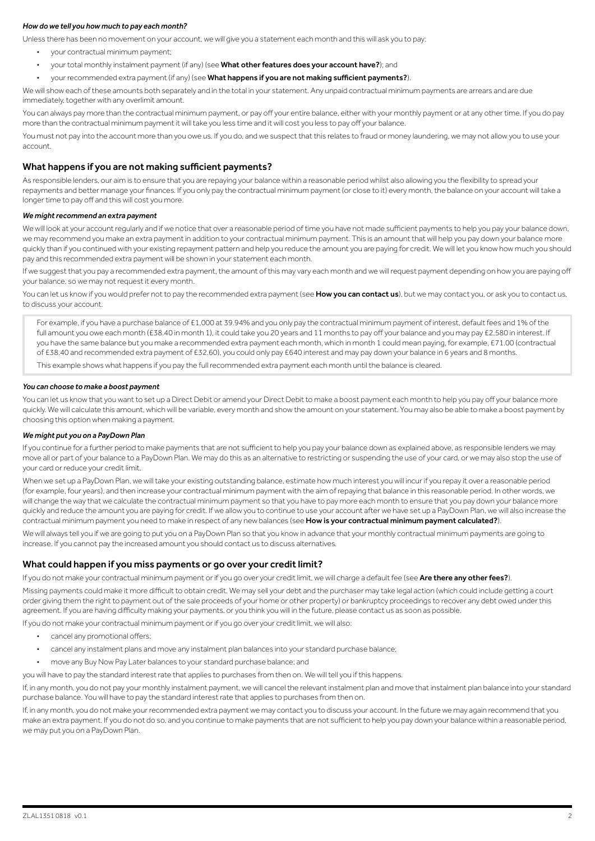### *How do we tell you how much to pay each month?*

Unless there has been no movement on your account, we will give you a statement each month and this will ask you to pay:

- your contractual minimum payment;
- your total monthly instalment payment (if any) (see What other features does your account have?); and
- your recommended extra payment (if any) (see What happens if you are not making sufficient payments?).

We will show each of these amounts both separately and in the total in your statement. Any unpaid contractual minimum payments are arrears and are due immediately, together with any overlimit amount.

You can always pay more than the contractual minimum payment, or pay off your entire balance, either with your monthly payment or at any other time. If you do pay more than the contractual minimum payment it will take you less time and it will cost you less to pay off your balance.

You must not pay into the account more than you owe us. If you do, and we suspect that this relates to fraud or money laundering, we may not allow you to use your account.

## What happens if you are not making sufficient payments?

As responsible lenders, our aim is to ensure that you are repaying your balance within a reasonable period whilst also allowing you the flexibility to spread your repayments and better manage your finances. If you only pay the contractual minimum payment (or close to it) every month, the balance on your account will take a longer time to pay off and this will cost you more.

#### *We might recommend an extra payment*

We will look at your account regularly and if we notice that over a reasonable period of time you have not made sufficient payments to help you pay your balance down, we may recommend you make an extra payment in addition to your contractual minimum payment. This is an amount that will help you pay down your balance more quickly than if you continued with your existing repayment pattern and help you reduce the amount you are paying for credit. We will let you know how much you should pay and this recommended extra payment will be shown in your statement each month.

If we suggest that you pay a recommended extra payment, the amount of this may vary each month and we will request payment depending on how you are paying off your balance, so we may not request it every month.

You can let us know if you would prefer not to pay the recommended extra payment (see **How you can contact us**), but we may contact you, or ask you to contact us, to discuss your account.

For example, if you have a purchase balance of £1,000 at 39.94% and you only pay the contractual minimum payment of interest, default fees and 1% of the full amount you owe each month (£38.40 in month 1), it could take you 20 years and 11 months to pay off your balance and you may pay £2,580 in interest. If you have the same balance but you make a recommended extra payment each month, which in month 1 could mean paying, for example, £71.00 (contractual of £38.40 and recommended extra payment of £32.60), you could only pay £640 interest and may pay down your balance in 6 years and 8 months.

This example shows what happens if you pay the full recommended extra payment each month until the balance is cleared.

### *You can choose to make a boost payment*

You can let us know that you want to set up a Direct Debit or amend your Direct Debit to make a boost payment each month to help you pay off your balance more quickly. We will calculate this amount, which will be variable, every month and show the amount on your statement. You may also be able to make a boost payment by choosing this option when making a payment.

#### *We might put you on a PayDown Plan*

If you continue for a further period to make payments that are not sufficient to help you pay your balance down as explained above, as responsible lenders we may move all or part of your balance to a PayDown Plan. We may do this as an alternative to restricting or suspending the use of your card, or we may also stop the use of your card or reduce your credit limit.

When we set up a PayDown Plan, we will take your existing outstanding balance, estimate how much interest you will incur if you repay it over a reasonable period (for example, four years), and then increase your contractual minimum payment with the aim of repaying that balance in this reasonable period. In other words, we will change the way that we calculate the contractual minimum payment so that you have to pay more each month to ensure that you pay down your balance more quickly and reduce the amount you are paying for credit. If we allow you to continue to use your account after we have set up a PayDown Plan, we will also increase the contractual minimum payment you need to make in respect of any new balances (see How is your contractual minimum payment calculated?).

We will always tell you if we are going to put you on a PayDown Plan so that you know in advance that your monthly contractual minimum payments are going to increase. If you cannot pay the increased amount you should contact us to discuss alternatives.

### What could happen if you miss payments or go over your credit limit?

If you do not make your contractual minimum payment or if you go over your credit limit, we will charge a default fee (see Are there any other fees?).

Missing payments could make it more difficult to obtain credit. We may sell your debt and the purchaser may take legal action (which could include getting a court order giving them the right to payment out of the sale proceeds of your home or other property) or bankruptcy proceedings to recover any debt owed under this agreement. If you are having difficulty making your payments, or you think you will in the future, please contact us as soon as possible

If you do not make your contractual minimum payment or if you go over your credit limit, we will also:

- cancel any promotional offers;
- cancel any instalment plans and move any instalment plan balances into your standard purchase balance;
- move any Buy Now Pay Later balances to your standard purchase balance; and

you will have to pay the standard interest rate that applies to purchases from then on. We will tell you if this happens.

If, in any month, you do not pay your monthly instalment payment, we will cancel the relevant instalment plan and move that instalment plan balance into your standard purchase balance. You will have to pay the standard interest rate that applies to purchases from then on.

If, in any month, you do not make your recommended extra payment we may contact you to discuss your account. In the future we may again recommend that you make an extra payment. If you do not do so, and you continue to make payments that are not sufficient to help you pay down your balance within a reasonable period, we may put you on a PayDown Plan.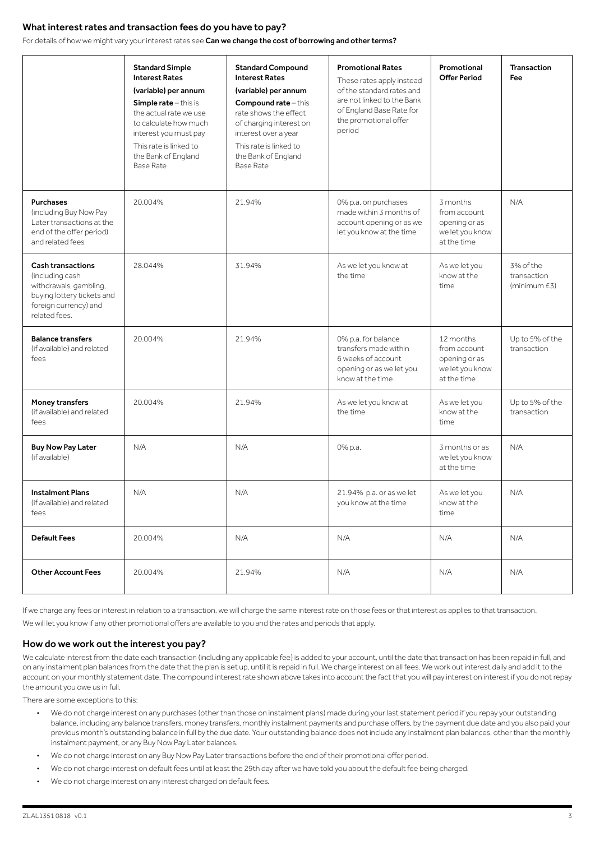## What interest rates and transaction fees do you have to pay?

For details of how we might vary your interest rates see Can we change the cost of borrowing and other terms?

|                                                                                                                                               | <b>Standard Simple</b><br><b>Interest Rates</b><br>(variable) per annum<br>Simple rate - this is<br>the actual rate we use<br>to calculate how much<br>interest you must pay<br>This rate is linked to<br>the Bank of England<br><b>Base Rate</b> | <b>Standard Compound</b><br><b>Interest Rates</b><br>(variable) per annum<br>Compound rate-this<br>rate shows the effect.<br>of charging interest on<br>interest over a year<br>This rate is linked to<br>the Bank of England<br><b>Base Rate</b> | <b>Promotional Rates</b><br>These rates apply instead<br>of the standard rates and<br>are not linked to the Bank<br>of England Base Rate for<br>the promotional offer<br>period | Promotional<br><b>Offer Period</b>                                           | <b>Transaction</b><br><b>Fee</b>         |
|-----------------------------------------------------------------------------------------------------------------------------------------------|---------------------------------------------------------------------------------------------------------------------------------------------------------------------------------------------------------------------------------------------------|---------------------------------------------------------------------------------------------------------------------------------------------------------------------------------------------------------------------------------------------------|---------------------------------------------------------------------------------------------------------------------------------------------------------------------------------|------------------------------------------------------------------------------|------------------------------------------|
| <b>Purchases</b><br>(including Buy Now Pay<br>Later transactions at the<br>end of the offer period)<br>and related fees                       | 20.004%                                                                                                                                                                                                                                           | 21.94%                                                                                                                                                                                                                                            | 0% p.a. on purchases<br>made within 3 months of<br>account opening or as we<br>let you know at the time                                                                         | 3 months<br>from account<br>opening or as<br>we let you know<br>at the time  | N/A                                      |
| <b>Cash transactions</b><br>(including cash<br>withdrawals, gambling,<br>buying lottery tickets and<br>foreign currency) and<br>related fees. | 28 044%                                                                                                                                                                                                                                           | 31.94%                                                                                                                                                                                                                                            | As we let you know at<br>the time                                                                                                                                               | As we let you<br>know at the<br>time                                         | 3% of the<br>transaction<br>(minimum £3) |
| <b>Balance transfers</b><br>(if available) and related<br>fees                                                                                | 20.004%                                                                                                                                                                                                                                           | 21.94%                                                                                                                                                                                                                                            | 0% p.a. for balance<br>transfers made within<br>6 weeks of account<br>opening or as we let you<br>know at the time.                                                             | 12 months<br>from account<br>opening or as<br>we let you know<br>at the time | Up to 5% of the<br>transaction           |
| Money transfers<br>(if available) and related<br>fees                                                                                         | 20.004%                                                                                                                                                                                                                                           | 21.94%                                                                                                                                                                                                                                            | As we let you know at<br>the time                                                                                                                                               | As we let you<br>know at the<br>time                                         | Up to 5% of the<br>transaction           |
| <b>Buy Now Pay Later</b><br>(if available)                                                                                                    | N/A                                                                                                                                                                                                                                               | N/A                                                                                                                                                                                                                                               | 0% p.a.                                                                                                                                                                         | 3 months or as<br>we let you know<br>at the time                             | N/A                                      |
| <b>Instalment Plans</b><br>(if available) and related<br>fees                                                                                 | N/A                                                                                                                                                                                                                                               | N/A                                                                                                                                                                                                                                               | 21.94% p.a. or as we let<br>you know at the time                                                                                                                                | As we let you<br>know at the<br>time                                         | N/A                                      |
| <b>Default Fees</b>                                                                                                                           | 20.004%                                                                                                                                                                                                                                           | N/A                                                                                                                                                                                                                                               | N/A                                                                                                                                                                             | N/A                                                                          | N/A                                      |
| <b>Other Account Fees</b>                                                                                                                     | 20.004%                                                                                                                                                                                                                                           | 21.94%                                                                                                                                                                                                                                            | N/A                                                                                                                                                                             | N/A                                                                          | N/A                                      |

If we charge any fees or interest in relation to a transaction, we will charge the same interest rate on those fees or that interest as applies to that transaction.

We will let you know if any other promotional offers are available to you and the rates and periods that apply.

### How do we work out the interest you pay?

We calculate interest from the date each transaction (including any applicable fee) is added to your account, until the date that transaction has been repaid in full, and on any instalment plan balances from the date that the plan is set up, until it is repaid in full. We charge interest on all fees. We work out interest daily and add it to the account on your monthly statement date. The compound interest rate shown above takes into account the fact that you will pay interest on interest if you do not repay the amount you owe us in full.

There are some exceptions to this:

- We do not charge interest on any purchases (other than those on instalment plans) made during your last statement period if you repay your outstanding balance, including any balance transfers, money transfers, monthly instalment payments and purchase offers, by the payment due date and you also paid your previous month's outstanding balance in full by the due date. Your outstanding balance does not include any instalment plan balances, other than the monthly instalment payment, or any Buy Now Pay Later balances.
- We do not charge interest on any Buy Now Pay Later transactions before the end of their promotional offer period.
- We do not charge interest on default fees until at least the 29th day after we have told you about the default fee being charged.
- We do not charge interest on any interest charged on default fees.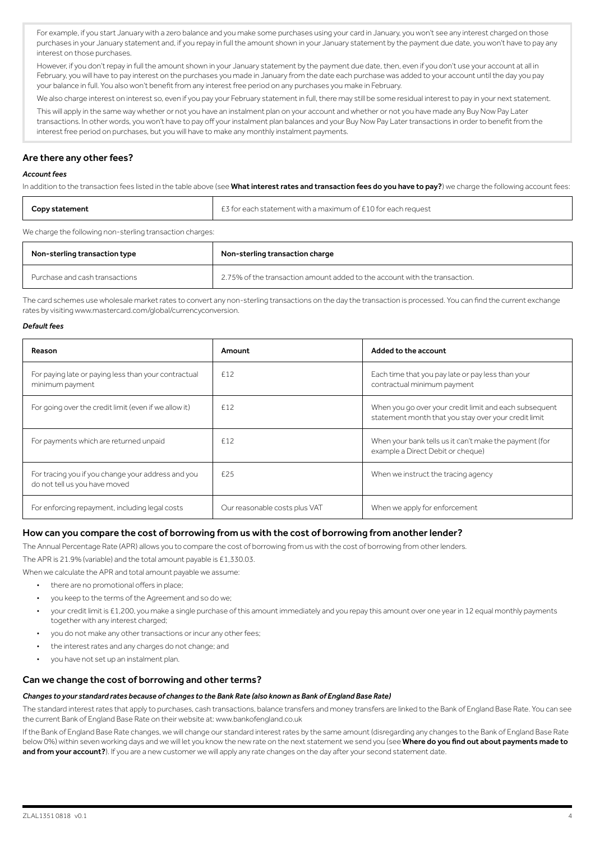For example, if you start January with a zero balance and you make some purchases using your card in January, you won't see any interest charged on those purchases in your January statement and, if you repay in full the amount shown in your January statement by the payment due date, you won't have to pay any interest on those purchases.

However, if you don't repay in full the amount shown in your January statement by the payment due date, then, even if you don't use your account at all in February, you will have to pay interest on the purchases you made in January from the date each purchase was added to your account until the day you pay your balance in full. You also won't benefit from any interest free period on any purchases you make in February.

We also charge interest on interest so, even if you pay your February statement in full, there may still be some residual interest to pay in your next statement. This will apply in the same way whether or not you have an instalment plan on your account and whether or not you have made any Buy Now Pay Later transactions. In other words, you won't have to pay off your instalment plan balances and your Buy Now Pay Later transactions in order to benefit from the interest free period on purchases, but you will have to make any monthly instalment payments.

## Are there any other fees?

### *Account fees*

In addition to the transaction fees listed in the table above (see What interest rates and transaction fees do you have to pay?) we charge the following account fees:

| Copy statement                                            | E3 for each statement with a maximum of £10 for each request |
|-----------------------------------------------------------|--------------------------------------------------------------|
| We charge the following non-sterling transaction charges: |                                                              |

| Non-sterling transaction type  | Non-sterling transaction charge                                            |
|--------------------------------|----------------------------------------------------------------------------|
| Purchase and cash transactions | 2.75% of the transaction amount added to the account with the transaction. |

The card schemes use wholesale market rates to convert any non-sterling transactions on the day the transaction is processed. You can find the current exchange rates by visiting www.mastercard.com/global/currencyconversion.

#### *Default fees*

| Reason                                                                              | Amount                        | Added to the account                                                                                           |
|-------------------------------------------------------------------------------------|-------------------------------|----------------------------------------------------------------------------------------------------------------|
| For paying late or paying less than your contractual<br>minimum payment             | £12                           | Each time that you pay late or pay less than your<br>contractual minimum payment                               |
| For going over the credit limit (even if we allow it)                               | £12                           | When you go over your credit limit and each subsequent<br>statement month that you stay over your credit limit |
| For payments which are returned unpaid                                              | £12                           | When your bank tells us it can't make the payment (for<br>example a Direct Debit or cheque)                    |
| For tracing you if you change your address and you<br>do not tell us you have moved | £25                           | When we instruct the tracing agency                                                                            |
| For enforcing repayment, including legal costs                                      | Our reasonable costs plus VAT | When we apply for enforcement                                                                                  |

### How can you compare the cost of borrowing from us with the cost of borrowing from another lender?

The Annual Percentage Rate (APR) allows you to compare the cost of borrowing from us with the cost of borrowing from other lenders.

The APR is 21.9% (variable) and the total amount payable is £1,330.03.

When we calculate the APR and total amount payable we assume:

- there are no promotional offers in place;
- you keep to the terms of the Agreement and so do we;
- your credit limit is £1,200, you make a single purchase of this amount immediately and you repay this amount over one year in 12 equal monthly payments together with any interest charged;
- you do not make any other transactions or incur any other fees;
- the interest rates and any charges do not change; and
- you have not set up an instalment plan.

#### Can we change the cost of borrowing and other terms?

#### *Changes to your standard rates because of changes to the Bank Rate (also known as Bank of England Base Rate)*

The standard interest rates that apply to purchases, cash transactions, balance transfers and money transfers are linked to the Bank of England Base Rate. You can see the current Bank of England Base Rate on their website at: www.bankofengland.co.uk

If the Bank of England Base Rate changes, we will change our standard interest rates by the same amount (disregarding any changes to the Bank of England Base Rate below 0%) within seven working days and we will let you know the new rate on the next statement we send you (see Where do you find out about payments made to and from your account?). If you are a new customer we will apply any rate changes on the day after your second statement date.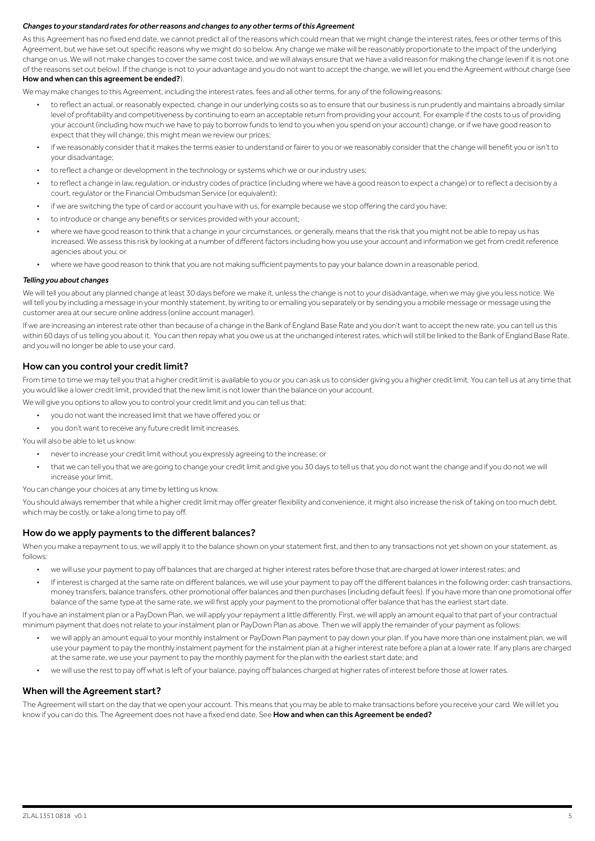### *Changes to your standard rates for other reasons and changes to any other terms of this Agreement*

As this Agreement has no fixed end date, we cannot predict all of the reasons which could mean that we might change the interest rates, fees or other terms of this Agreement, but we have set out specific reasons why we might do so below. Any change we make will be reasonably proportionate to the impact of the underlying change on us. We will not make changes to cover the same cost twice, and we will always ensure that we have a valid reason for making the change (even if it is not one of the reasons set out below). If the change is not to your advantage and you do not want to accept the change, we will let you end the Agreement without charge (see How and when can this agreement be ended?).

We may make changes to this Agreement, including the interest rates, fees and all other terms, for any of the following reasons:

- to reflect an actual, or reasonably expected, change in our underlying costs so as to ensure that our business is run prudently and maintains a broadly similar level of profitability and competitiveness by continuing to earn an acceptable return from providing your account. For example if the costs to us of providing your account (including how much we have to pay to borrow funds to lend to you when you spend on your account) change, or if we have good reason to expect that they will change, this might mean we review our prices;
- if we reasonably consider that it makes the terms easier to understand or fairer to you or we reasonably consider that the change will benefit you or isn't to your disadvantage;
- to reflect a change or development in the technology or systems which we or our industry uses;
- to reflect a change in law, regulation, or industry codes of practice (including where we have a good reason to expect a change) or to reflect a decision by a court, regulator or the Financial Ombudsman Service (or equivalent);
- if we are switching the type of card or account you have with us, for example because we stop offering the card you have;
- to introduce or change any benefits or services provided with your account;
- where we have good reason to think that a change in your circumstances, or generally, means that the risk that you might not be able to repay us has increased. We assess this risk by looking at a number of different factors including how you use your account and information we get from credit reference agencies about you; or
- where we have good reason to think that you are not making sufficient payments to pay your balance down in a reasonable period.

#### *Telling you about changes*

We will tell you about any planned change at least 30 days before we make it, unless the change is not to your disadvantage, when we may give you less notice. We will tell you by including a message in your monthly statement, by writing to or emailing you separately or by sending you a mobile message or message using the customer area at our secure online address (online account manager).

If we are increasing an interest rate other than because of a change in the Bank of England Base Rate and you don't want to accept the new rate, you can tell us this within 60 days of us telling you about it. You can then repay what you owe us at the unchanged interest rates, which will still be linked to the Bank of England Base Rate, and you will no longer be able to use your card.

### How can you control your credit limit?

From time to time we may tell you that a higher credit limit is available to you or you can ask us to consider giving you a higher credit limit. You can tell us at any time that you would like a lower credit limit, provided that the new limit is not lower than the balance on your account.

- We will give you options to allow you to control your credit limit and you can tell us that:
	- you do not want the increased limit that we have offered you; or
	- you don't want to receive any future credit limit increases.

You will also be able to let us know:

- never to increase your credit limit without you expressly agreeing to the increase; or
- that we can tell you that we are going to change your credit limit and give you 30 days to tell us that you do not want the change and if you do not we will increase your limit.

You can change your choices at any time by letting us know.

You should always remember that while a higher credit limit may offer greater flexibility and convenience, it might also increase the risk of taking on too much debt. which may be costly, or take a long time to pay off.

### How do we apply payments to the different balances?

When you make a repayment to us, we will apply it to the balance shown on your statement first, and then to any transactions not yet shown on your statement, as follows:

- we will use your payment to pay off balances that are charged at higher interest rates before those that are charged at lower interest rates; and
- If interest is charged at the same rate on different balances, we will use your payment to pay off the different balances in the following order: cash transactions, money transfers, balance transfers, other promotional offer balances and then purchases (including default fees). If you have more than one promotional offer balance of the same type at the same rate, we will first apply your payment to the promotional offer balance that has the earliest start date

If you have an instalment plan or a PayDown Plan, we will apply your repayment a little differently. First, we will apply an amount equal to that part of your contractual minimum payment that does not relate to your instalment plan or PayDown Plan as above. Then we will apply the remainder of your payment as follows:

- we will apply an amount equal to your monthly instalment or PayDown Plan payment to pay down your plan. If you have more than one instalment plan, we will use your payment to pay the monthly instalment payment for the instalment plan at a higher interest rate before a plan at a lower rate. If any plans are charged at the same rate, we use your payment to pay the monthly payment for the plan with the earliest start date; and
- we will use the rest to pay off what is left of your balance, paying off balances charged at higher rates of interest before those at lower rates.

### When will the Agreement start?

The Agreement will start on the day that we open your account. This means that you may be able to make transactions before you receive your card. We will let you know if you can do this. The Agreement does not have a fixed end date. See How and when can this Agreement be ended?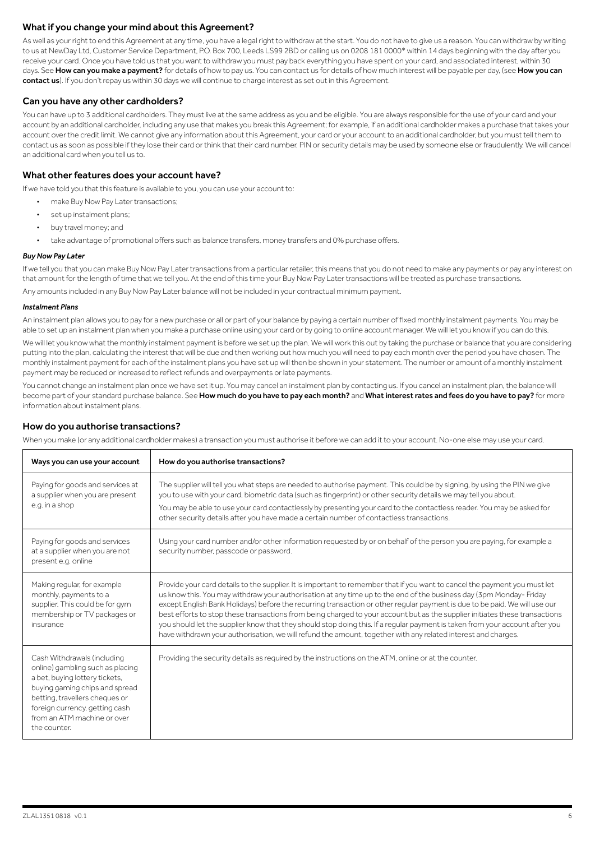## What if you change your mind about this Agreement?

As well as your right to end this Agreement at any time, you have a legal right to withdraw at the start. You do not have to give us a reason. You can withdraw by writing to us at NewDay Ltd, Customer Service Department, P.O. Box 700, Leeds LS99 2BD or calling us on 0208 181 0000\* within 14 days beginning with the day after you receive your card. Once you have told us that you want to withdraw you must pay back everything you have spent on your card, and associated interest, within 30 days. See How can you make a payment? for details of how to pay us. You can contact us for details of how much interest will be payable per day, (see How you can contact us). If you don't repay us within 30 days we will continue to charge interest as set out in this Agreement.

## Can you have any other cardholders?

You can have up to 3 additional cardholders. They must live at the same address as you and be eligible. You are always responsible for the use of your card and your account by an additional cardholder, including any use that makes you break this Agreement; for example, if an additional cardholder makes a purchase that takes your account over the credit limit. We cannot give any information about this Agreement, your card or your account to an additional cardholder, but you must tell them to contact us as soon as possible if they lose their card or think that their card number, PIN or security details may be used by someone else or fraudulently. We will cancel an additional card when you tell us to.

## What other features does your account have?

If we have told you that this feature is available to you, you can use your account to:

- make Buy Now Pay Later transactions;
- set up instalment plans;
- buy travel money; and
- take advantage of promotional offers such as balance transfers, money transfers and 0% purchase offers.

### *Buy Now Pay Later*

If we tell you that you can make Buy Now Pay Later transactions from a particular retailer, this means that you do not need to make any payments or pay any interest on that amount for the length of time that we tell you. At the end of this time your Buy Now Pay Later transactions will be treated as purchase transactions.

Any amounts included in any Buy Now Pay Later balance will not be included in your contractual minimum payment.

#### *Instalment Plans*

An instalment plan allows you to pay for a new purchase or all or part of your balance by paying a certain number of fixed monthly instalment payments. You may be able to set up an instalment plan when you make a purchase online using your card or by going to online account manager. We will let you know if you can do this.

We will let you know what the monthly instalment payment is before we set up the plan. We will work this out by taking the purchase or balance that you are considering putting into the plan, calculating the interest that will be due and then working out how much you will need to pay each month over the period you have chosen. The monthly instalment payment for each of the instalment plans you have set up will then be shown in your statement. The number or amount of a monthly instalment payment may be reduced or increased to reflect refunds and overpayments or late payments.

You cannot change an instalment plan once we have set it up. You may cancel an instalment plan by contacting us. If you cancel an instalment plan, the balance will become part of your standard purchase balance. See How much do you have to pay each month? and What interest rates and fees do you have to pay? for more information about instalment plans.

## How do you authorise transactions?

When you make (or any additional cardholder makes) a transaction you must authorise it before we can add it to your account. No-one else may use your card.

| Ways you can use your account                                                                                                                                                                                                                         | How do you authorise transactions?                                                                                                                                                                                                                                                                                                                                                                                                                                                                                                                                                                                                                                                                                                                             |
|-------------------------------------------------------------------------------------------------------------------------------------------------------------------------------------------------------------------------------------------------------|----------------------------------------------------------------------------------------------------------------------------------------------------------------------------------------------------------------------------------------------------------------------------------------------------------------------------------------------------------------------------------------------------------------------------------------------------------------------------------------------------------------------------------------------------------------------------------------------------------------------------------------------------------------------------------------------------------------------------------------------------------------|
| Paying for goods and services at<br>a supplier when you are present<br>e.g. in a shop                                                                                                                                                                 | The supplier will tell you what steps are needed to authorise payment. This could be by signing, by using the PIN we give<br>you to use with your card, biometric data (such as fingerprint) or other security details we may tell you about.<br>You may be able to use your card contactlessly by presenting your card to the contactless reader. You may be asked for<br>other security details after you have made a certain number of contactless transactions.                                                                                                                                                                                                                                                                                            |
| Paying for goods and services<br>at a supplier when you are not<br>present e.g. online                                                                                                                                                                | Using your card number and/or other information requested by or on behalf of the person you are paying, for example a<br>security number, passcode or password.                                                                                                                                                                                                                                                                                                                                                                                                                                                                                                                                                                                                |
| Making regular, for example<br>monthly, payments to a<br>supplier. This could be for gym<br>membership or TV packages or<br>insurance                                                                                                                 | Provide your card details to the supplier. It is important to remember that if you want to cancel the payment you must let<br>us know this. You may withdraw your authorisation at any time up to the end of the business day (3pm Monday-Friday<br>except English Bank Holidays) before the recurring transaction or other regular payment is due to be paid. We will use our<br>best efforts to stop these transactions from being charged to your account but as the supplier initiates these transactions<br>you should let the supplier know that they should stop doing this. If a regular payment is taken from your account after you<br>have withdrawn your authorisation, we will refund the amount, together with any related interest and charges. |
| Cash Withdrawals (including<br>online) gambling such as placing<br>a bet, buying lottery tickets,<br>buying gaming chips and spread<br>betting, travellers cheques or<br>foreign currency, getting cash<br>from an ATM machine or over<br>the counter | Providing the security details as required by the instructions on the ATM, online or at the counter.                                                                                                                                                                                                                                                                                                                                                                                                                                                                                                                                                                                                                                                           |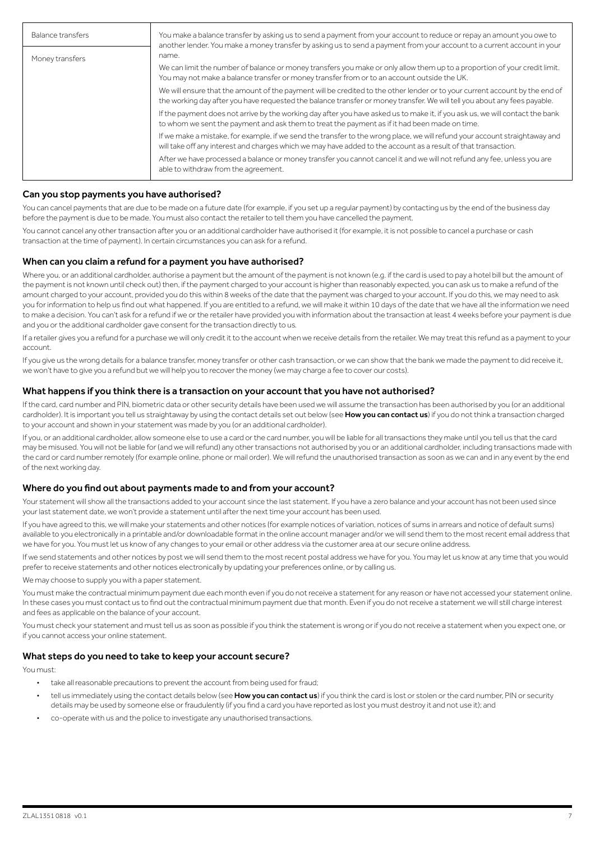| Balance transfers | You make a balance transfer by asking us to send a payment from your account to reduce or repay an amount you owe to<br>another lender. You make a money transfer by asking us to send a payment from your account to a current account in your          |  |
|-------------------|----------------------------------------------------------------------------------------------------------------------------------------------------------------------------------------------------------------------------------------------------------|--|
| Money transfers   | name.                                                                                                                                                                                                                                                    |  |
|                   | We can limit the number of balance or money transfers you make or only allow them up to a proportion of your credit limit.<br>You may not make a balance transfer or money transfer from or to an account outside the UK.                                |  |
|                   | We will ensure that the amount of the payment will be credited to the other lender or to your current account by the end of<br>the working day after you have requested the balance transfer or money transfer. We will tell you about any fees payable. |  |
|                   | If the payment does not arrive by the working day after you have asked us to make it, if you ask us, we will contact the bank<br>to whom we sent the payment and ask them to treat the payment as if it had been made on time.                           |  |
|                   | If we make a mistake, for example, if we send the transfer to the wrong place, we will refund your account straightaway and<br>will take off any interest and charges which we may have added to the account as a result of that transaction.            |  |
|                   | After we have processed a balance or money transfer you cannot cancel it and we will not refund any fee, unless you are<br>able to withdraw from the agreement.                                                                                          |  |

## Can you stop payments you have authorised?

You can cancel payments that are due to be made on a future date (for example, if you set up a regular payment) by contacting us by the end of the business day before the payment is due to be made. You must also contact the retailer to tell them you have cancelled the payment.

You cannot cancel any other transaction after you or an additional cardholder have authorised it (for example, it is not possible to cancel a purchase or cash transaction at the time of payment). In certain circumstances you can ask for a refund.

### When can you claim a refund for a payment you have authorised?

Where you, or an additional cardholder, authorise a payment but the amount of the payment is not known (e.g. if the card is used to pay a hotel bill but the amount of the payment is not known until check out) then, if the payment charged to your account is higher than reasonably expected, you can ask us to make a refund of the amount charged to your account, provided you do this within 8 weeks of the date that the payment was charged to your account. If you do this, we may need to ask you for information to help us find out what happened. If you are entitled to a refund, we will make it within 10 days of the date that we have all the information we need to make a decision. You can't ask for a refund if we or the retailer have provided you with information about the transaction at least 4 weeks before your payment is due and you or the additional cardholder gave consent for the transaction directly to us.

If a retailer gives you a refund for a purchase we will only credit it to the account when we receive details from the retailer. We may treat this refund as a payment to your account.

If you give us the wrong details for a balance transfer, money transfer or other cash transaction, or we can show that the bank we made the payment to did receive it, we won't have to give you a refund but we will help you to recover the money (we may charge a fee to cover our costs).

### What happens if you think there is a transaction on your account that you have not authorised?

If the card, card number and PIN, biometric data or other security details have been used we will assume the transaction has been authorised by you (or an additional cardholder). It is important you tell us straightaway by using the contact details set out below (see How you can contact us) if you do not think a transaction charged to your account and shown in your statement was made by you (or an additional cardholder).

If you, or an additional cardholder, allow someone else to use a card or the card number, you will be liable for all transactions they make until you tell us that the card may be misused. You will not be liable for (and we will refund) any other transactions not authorised by you or an additional cardholder, including transactions made with the card or card number remotely (for example online, phone or mail order). We will refund the unauthorised transaction as soon as we can and in any event by the end of the next working day.

### Where do you find out about payments made to and from your account?

Your statement will show all the transactions added to your account since the last statement. If you have a zero balance and your account has not been used since your last statement date, we won't provide a statement until after the next time your account has been used.

If you have agreed to this, we will make your statements and other notices (for example notices of variation, notices of sums in arrears and notice of default sums) available to you electronically in a printable and/or downloadable format in the online account manager and/or we will send them to the most recent email address that we have for you. You must let us know of any changes to your email or other address via the customer area at our secure online address.

If we send statements and other notices by post we will send them to the most recent postal address we have for you. You may let us know at any time that you would prefer to receive statements and other notices electronically by updating your preferences online, or by calling us.

We may choose to supply you with a paper statement.

You must make the contractual minimum payment due each month even if you do not receive a statement for any reason or have not accessed your statement online. In these cases you must contact us to find out the contractual minimum payment due that month. Even if you do not receive a statement we will still charge interest and fees as applicable on the balance of your account.

You must check your statement and must tell us as soon as possible if you think the statement is wrong or if you do not receive a statement when you expect one, or if you cannot access your online statement.

## What steps do you need to take to keep your account secure?

You must:

- take all reasonable precautions to prevent the account from being used for fraud;
- tell us immediately using the contact details below (see How you can contact us) if you think the card is lost or stolen or the card number, PIN or security details may be used by someone else or fraudulently (if you find a card you have reported as lost you must destroy it and not use it); and
- co-operate with us and the police to investigate any unauthorised transactions.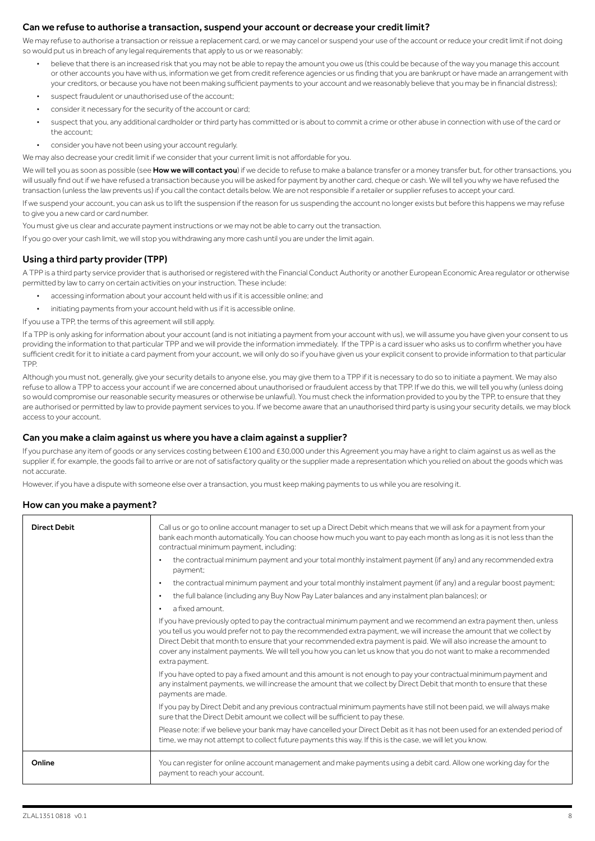## Can we refuse to authorise a transaction, suspend your account or decrease your credit limit?

We may refuse to authorise a transaction or reissue a replacement card, or we may cancel or suspend your use of the account or reduce your credit limit if not doing so would put us in breach of any legal requirements that apply to us or we reasonably:

- believe that there is an increased risk that you may not be able to repay the amount you owe us (this could be because of the way you manage this account or other accounts you have with us, information we get from credit reference agencies or us finding that you are bankrupt or have made an arrangement with your creditors, or because you have not been making sufficient payments to your account and we reasonably believe that you may be in financial distress);
- suspect fraudulent or unauthorised use of the account;
- consider it necessary for the security of the account or card;
- suspect that you, any additional cardholder or third party has committed or is about to commit a crime or other abuse in connection with use of the card or the account;
- consider you have not been using your account regularly.

We may also decrease your credit limit if we consider that your current limit is not affordable for you.

We will tell you as soon as possible (see How we will contact you) if we decide to refuse to make a balance transfer or a money transfer but, for other transactions, you will usually find out if we have refused a transaction because you will be asked for payment by another card, cheque or cash. We will tell you why we have refused the transaction (unless the law prevents us) if you call the contact details below. We are not responsible if a retailer or supplier refuses to accept your card.

If we suspend your account, you can ask us to lift the suspension if the reason for us suspending the account no longer exists but before this happens we may refuse to give you a new card or card number.

You must give us clear and accurate payment instructions or we may not be able to carry out the transaction.

If you go over your cash limit, we will stop you withdrawing any more cash until you are under the limit again.

## Using a third party provider (TPP)

A TPP is a third party service provider that is authorised or registered with the Financial Conduct Authority or another European Economic Area regulator or otherwise permitted by law to carry on certain activities on your instruction. These include:

- accessing information about your account held with us if it is accessible online; and
- initiating payments from your account held with us if it is accessible online.

If you use a TPP, the terms of this agreement will still apply.

If a TPP is only asking for information about your account (and is not initiating a payment from your account with us), we will assume you have given your consent to us providing the information to that particular TPP and we will provide the information immediately. If the TPP is a card issuer who asks us to confirm whether you have sufficient credit for it to initiate a card payment from your account, we will only do so if you have given us your explicit consent to provide information to that particular TPP.

Although you must not, generally, give your security details to anyone else, you may give them to a TPP if it is necessary to do so to initiate a payment. We may also refuse to allow a TPP to access your account if we are concerned about unauthorised or fraudulent access by that TPP. If we do this, we will tell you why (unless doing so would compromise our reasonable security measures or otherwise be unlawful). You must check the information provided to you by the TPP, to ensure that they are authorised or permitted by law to provide payment services to you. If we become aware that an unauthorised third party is using your security details, we may block access to your account.

### Can you make a claim against us where you have a claim against a supplier?

If you purchase any item of goods or any services costing between £100 and £30,000 under this Agreement you may have a right to claim against us as well as the supplier if, for example, the goods fail to arrive or are not of satisfactory quality or the supplier made a representation which you relied on about the goods which was not accurate.

However, if you have a dispute with someone else over a transaction, you must keep making payments to us while you are resolving it.

### How can you make a payment?

| <b>Direct Debit</b> | Call us or go to online account manager to set up a Direct Debit which means that we will ask for a payment from your<br>bank each month automatically. You can choose how much you want to pay each month as long as it is not less than the<br>contractual minimum payment, including:<br>the contractual minimum payment and your total monthly instalment payment (if any) and any recommended extra<br>payment:<br>the contractual minimum payment and your total monthly instalment payment (if any) and a regular boost payment;<br>the full balance (including any Buy Now Pay Later balances and any instalment plan balances); or |
|---------------------|---------------------------------------------------------------------------------------------------------------------------------------------------------------------------------------------------------------------------------------------------------------------------------------------------------------------------------------------------------------------------------------------------------------------------------------------------------------------------------------------------------------------------------------------------------------------------------------------------------------------------------------------|
|                     | a fixed amount.                                                                                                                                                                                                                                                                                                                                                                                                                                                                                                                                                                                                                             |
|                     | If you have previously opted to pay the contractual minimum payment and we recommend an extra payment then, unless<br>you tell us you would prefer not to pay the recommended extra payment, we will increase the amount that we collect by<br>Direct Debit that month to ensure that your recommended extra payment is paid. We will also increase the amount to<br>cover any instalment payments. We will tell you how you can let us know that you do not want to make a recommended<br>extra payment.                                                                                                                                   |
|                     | If you have opted to pay a fixed amount and this amount is not enough to pay your contractual minimum payment and<br>any instalment payments, we will increase the amount that we collect by Direct Debit that month to ensure that these<br>payments are made.                                                                                                                                                                                                                                                                                                                                                                             |
|                     | If you pay by Direct Debit and any previous contractual minimum payments have still not been paid, we will always make<br>sure that the Direct Debit amount we collect will be sufficient to pay these.                                                                                                                                                                                                                                                                                                                                                                                                                                     |
|                     | Please note: if we believe your bank may have cancelled your Direct Debit as it has not been used for an extended period of<br>time, we may not attempt to collect future payments this way. If this is the case, we will let you know.                                                                                                                                                                                                                                                                                                                                                                                                     |
| Online              | You can register for online account management and make payments using a debit card. Allow one working day for the<br>payment to reach your account.                                                                                                                                                                                                                                                                                                                                                                                                                                                                                        |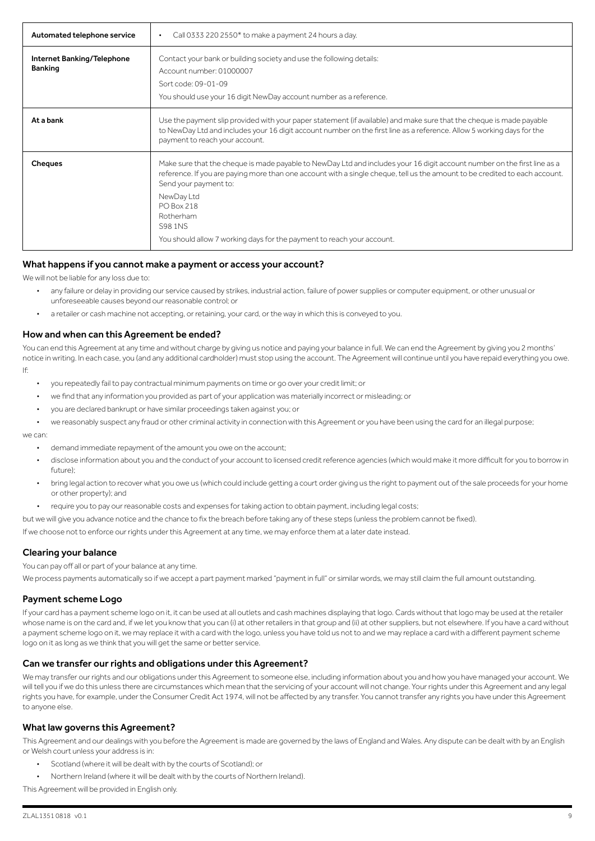| Automated telephone service                  | Call 0333 220 2550* to make a payment 24 hours a day.<br>$\bullet$                                                                                                                                                                                                                                                                                                                                                    |
|----------------------------------------------|-----------------------------------------------------------------------------------------------------------------------------------------------------------------------------------------------------------------------------------------------------------------------------------------------------------------------------------------------------------------------------------------------------------------------|
| Internet Banking/Telephone<br><b>Banking</b> | Contact your bank or building society and use the following details:<br>Account number: 01000007<br>Sort code: 09-01-09<br>You should use your 16 digit NewDay account number as a reference.                                                                                                                                                                                                                         |
| At a bank                                    | Use the payment slip provided with your paper statement (if available) and make sure that the cheque is made payable<br>to NewDay Ltd and includes your 16 digit account number on the first line as a reference. Allow 5 working days for the<br>payment to reach your account.                                                                                                                                      |
| <b>Cheques</b>                               | Make sure that the cheque is made payable to NewDay Ltd and includes your 16 digit account number on the first line as a<br>reference. If you are paying more than one account with a single cheque, tell us the amount to be credited to each account.<br>Send your payment to:<br>NewDay Ltd<br>PO Box 218<br>Rotherham<br><b>S98 1NS</b><br>You should allow 7 working days for the payment to reach your account. |

### What happens if you cannot make a payment or access your account?

We will not be liable for any loss due to:

- any failure or delay in providing our service caused by strikes, industrial action, failure of power supplies or computer equipment, or other unusual or unforeseeable causes beyond our reasonable control; or
- a retailer or cash machine not accepting, or retaining, your card, or the way in which this is conveyed to you.

### How and when can this Agreement be ended?

You can end this Agreement at any time and without charge by giving us notice and paying your balance in full. We can end the Agreement by giving you 2 months' notice in writing. In each case, you (and any additional cardholder) must stop using the account. The Agreement will continue until you have repaid everything you owe. If:

- you repeatedly fail to pay contractual minimum payments on time or go over your credit limit; or
- we find that any information you provided as part of your application was materially incorrect or misleading; or
- you are declared bankrupt or have similar proceedings taken against you; or
- we reasonably suspect any fraud or other criminal activity in connection with this Agreement or you have been using the card for an illegal purpose;

we can:

- demand immediate repayment of the amount you owe on the account;
- disclose information about you and the conduct of your account to licensed credit reference agencies (which would make it more difficult for you to borrow in future);
- bring legal action to recover what you owe us (which could include getting a court order giving us the right to payment out of the sale proceeds for your home or other property); and
- require you to pay our reasonable costs and expenses for taking action to obtain payment, including legal costs;
- but we will give you advance notice and the chance to fix the breach before taking any of these steps (unless the problem cannot be fixed).

If we choose not to enforce our rights under this Agreement at any time, we may enforce them at a later date instead.

### Clearing your balance

You can pay off all or part of your balance at any time.

We process payments automatically so if we accept a part payment marked "payment in full" or similar words, we may still claim the full amount outstanding.

### Payment scheme Logo

If your card has a payment scheme logo on it, it can be used at all outlets and cash machines displaying that logo. Cards without that logo may be used at the retailer whose name is on the card and, if we let you know that you can (i) at other retailers in that group and (ii) at other suppliers, but not elsewhere. If you have a card without a payment scheme logo on it, we may replace it with a card with the logo, unless you have told us not to and we may replace a card with a different payment scheme logo on it as long as we think that you will get the same or better service.

### Can we transfer our rights and obligations under this Agreement?

We may transfer our rights and our obligations under this Agreement to someone else, including information about you and how you have managed your account. We will tell you if we do this unless there are circumstances which mean that the servicing of your account will not change. Your rights under this Agreement and any legal rights you have, for example, under the Consumer Credit Act 1974, will not be affected by any transfer. You cannot transfer any rights you have under this Agreement to anyone else.

### What law governs this Agreement?

This Agreement and our dealings with you before the Agreement is made are governed by the laws of England and Wales. Any dispute can be dealt with by an English or Welsh court unless your address is in:

- Scotland (where it will be dealt with by the courts of Scotland); or
- Northern Ireland (where it will be dealt with by the courts of Northern Ireland).

This Agreement will be provided in English only.